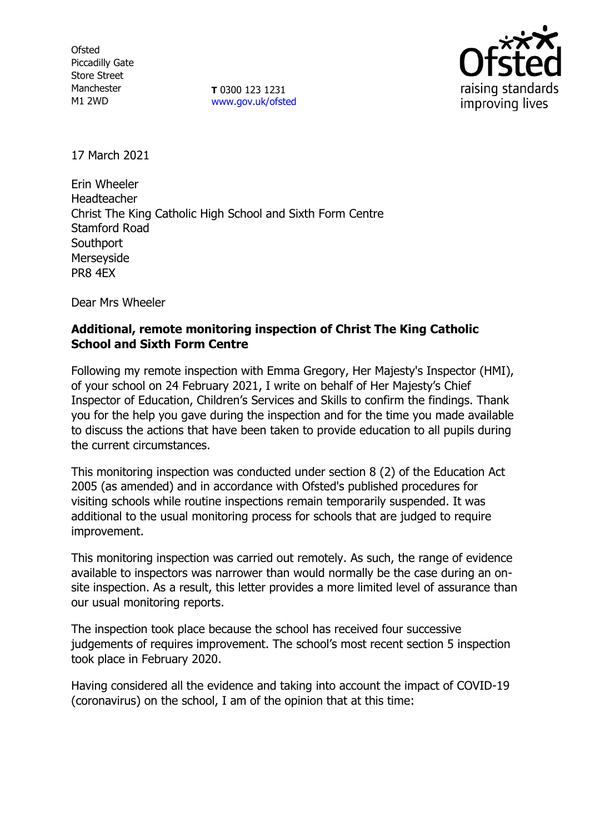**Ofsted** Piccadilly Gate Store Street Manchester M1 2WD

**T** 0300 123 1231 [www.gov.uk/ofsted](http://www.gov.uk/ofsted)



17 March 2021

Erin Wheeler Headteacher Christ The King Catholic High School and Sixth Form Centre Stamford Road **Southport** Merseyside PR8 4EX

Dear Mrs Wheeler

## **Additional, remote monitoring inspection of Christ The King Catholic School and Sixth Form Centre**

Following my remote inspection with Emma Gregory, Her Majesty's Inspector (HMI), of your school on 24 February 2021, I write on behalf of Her Majesty's Chief Inspector of Education, Children's Services and Skills to confirm the findings. Thank you for the help you gave during the inspection and for the time you made available to discuss the actions that have been taken to provide education to all pupils during the current circumstances.

This monitoring inspection was conducted under section 8 (2) of the Education Act 2005 (as amended) and in accordance with Ofsted's published procedures for visiting schools while routine inspections remain temporarily suspended. It was additional to the usual monitoring process for schools that are judged to require improvement.

This monitoring inspection was carried out remotely. As such, the range of evidence available to inspectors was narrower than would normally be the case during an onsite inspection. As a result, this letter provides a more limited level of assurance than our usual monitoring reports.

The inspection took place because the school has received four successive judgements of requires improvement. The school's most recent section 5 inspection took place in February 2020.

Having considered all the evidence and taking into account the impact of COVID-19 (coronavirus) on the school, I am of the opinion that at this time: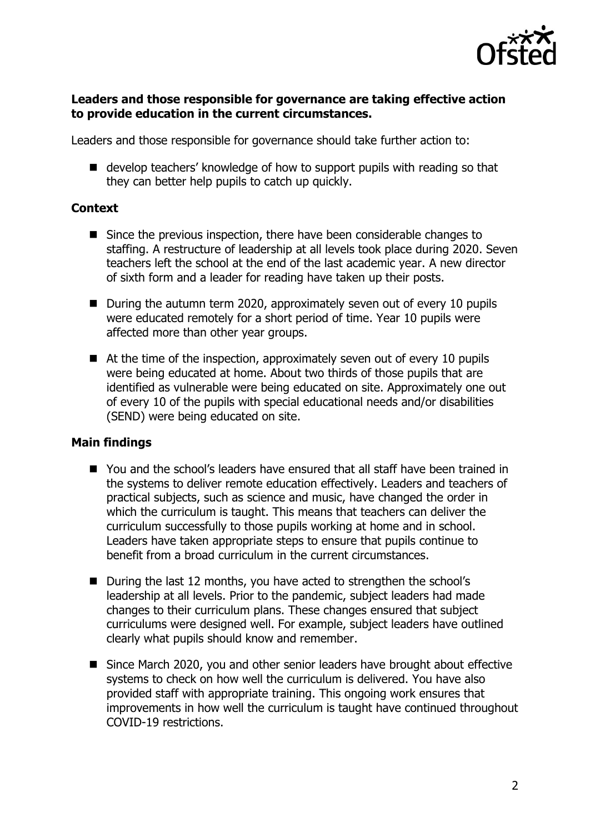

#### **Leaders and those responsible for governance are taking effective action to provide education in the current circumstances.**

Leaders and those responsible for governance should take further action to:

■ develop teachers' knowledge of how to support pupils with reading so that they can better help pupils to catch up quickly.

### **Context**

- Since the previous inspection, there have been considerable changes to staffing. A restructure of leadership at all levels took place during 2020. Seven teachers left the school at the end of the last academic year. A new director of sixth form and a leader for reading have taken up their posts.
- During the autumn term 2020, approximately seven out of every 10 pupils were educated remotely for a short period of time. Year 10 pupils were affected more than other year groups.
- At the time of the inspection, approximately seven out of every 10 pupils were being educated at home. About two thirds of those pupils that are identified as vulnerable were being educated on site. Approximately one out of every 10 of the pupils with special educational needs and/or disabilities (SEND) were being educated on site.

# **Main findings**

- You and the school's leaders have ensured that all staff have been trained in the systems to deliver remote education effectively. Leaders and teachers of practical subjects, such as science and music, have changed the order in which the curriculum is taught. This means that teachers can deliver the curriculum successfully to those pupils working at home and in school. Leaders have taken appropriate steps to ensure that pupils continue to benefit from a broad curriculum in the current circumstances.
- During the last 12 months, you have acted to strengthen the school's leadership at all levels. Prior to the pandemic, subject leaders had made changes to their curriculum plans. These changes ensured that subject curriculums were designed well. For example, subject leaders have outlined clearly what pupils should know and remember.
- Since March 2020, you and other senior leaders have brought about effective systems to check on how well the curriculum is delivered. You have also provided staff with appropriate training. This ongoing work ensures that improvements in how well the curriculum is taught have continued throughout COVID-19 restrictions.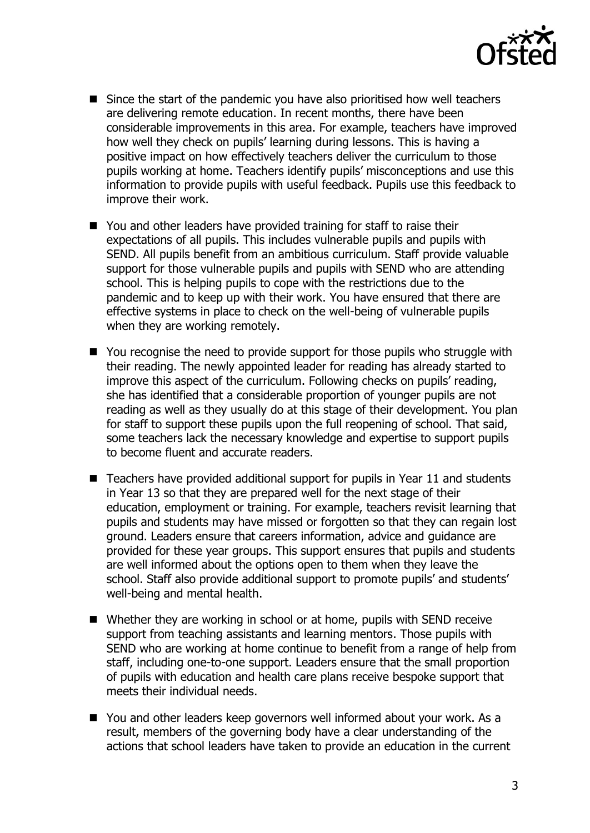

- Since the start of the pandemic you have also prioritised how well teachers are delivering remote education. In recent months, there have been considerable improvements in this area. For example, teachers have improved how well they check on pupils' learning during lessons. This is having a positive impact on how effectively teachers deliver the curriculum to those pupils working at home. Teachers identify pupils' misconceptions and use this information to provide pupils with useful feedback. Pupils use this feedback to improve their work.
- You and other leaders have provided training for staff to raise their expectations of all pupils. This includes vulnerable pupils and pupils with SEND. All pupils benefit from an ambitious curriculum. Staff provide valuable support for those vulnerable pupils and pupils with SEND who are attending school. This is helping pupils to cope with the restrictions due to the pandemic and to keep up with their work. You have ensured that there are effective systems in place to check on the well-being of vulnerable pupils when they are working remotely.
- You recognise the need to provide support for those pupils who struggle with their reading. The newly appointed leader for reading has already started to improve this aspect of the curriculum. Following checks on pupils' reading, she has identified that a considerable proportion of younger pupils are not reading as well as they usually do at this stage of their development. You plan for staff to support these pupils upon the full reopening of school. That said, some teachers lack the necessary knowledge and expertise to support pupils to become fluent and accurate readers.
- Teachers have provided additional support for pupils in Year 11 and students in Year 13 so that they are prepared well for the next stage of their education, employment or training. For example, teachers revisit learning that pupils and students may have missed or forgotten so that they can regain lost ground. Leaders ensure that careers information, advice and guidance are provided for these year groups. This support ensures that pupils and students are well informed about the options open to them when they leave the school. Staff also provide additional support to promote pupils' and students' well-being and mental health.
- Whether they are working in school or at home, pupils with SEND receive support from teaching assistants and learning mentors. Those pupils with SEND who are working at home continue to benefit from a range of help from staff, including one-to-one support. Leaders ensure that the small proportion of pupils with education and health care plans receive bespoke support that meets their individual needs.
- You and other leaders keep governors well informed about your work. As a result, members of the governing body have a clear understanding of the actions that school leaders have taken to provide an education in the current